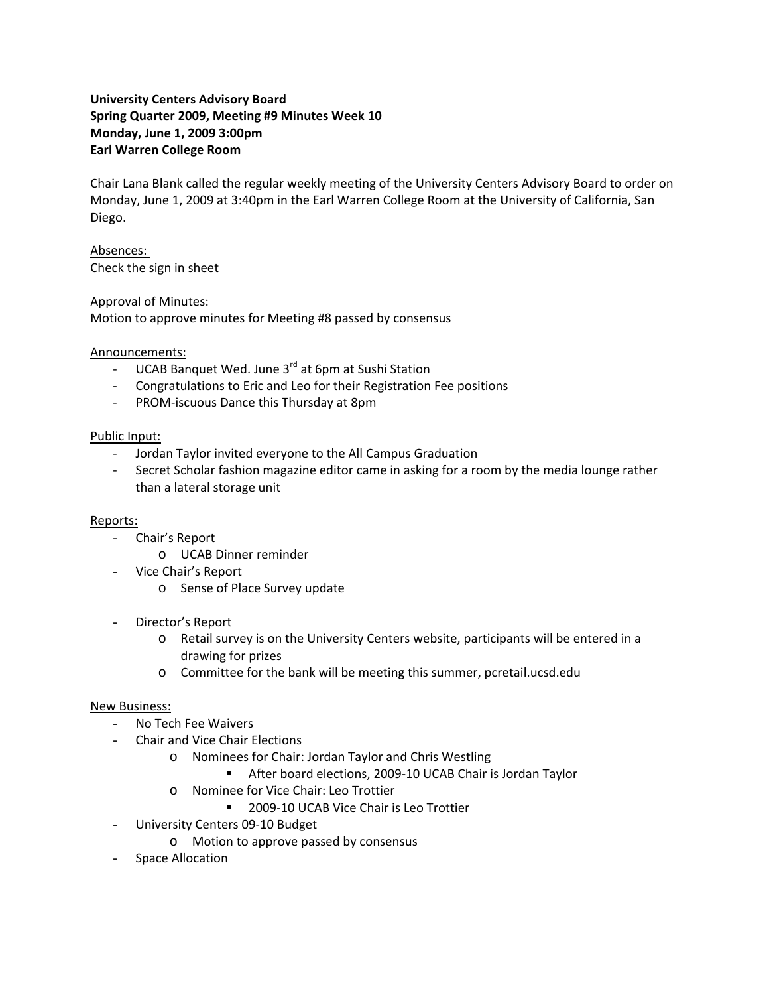# **University Centers Advisory Board Spring Quarter 2009, Meeting #9 Minutes Week 10 Monday, June 1, 2009 3:00pm Earl Warren College Room**

Chair Lana Blank called the regular weekly meeting of the University Centers Advisory Board to order on Monday, June 1, 2009 at 3:40pm in the Earl Warren College Room at the University of California, San Diego.

Absences: Check the sign in sheet

## Approval of Minutes:

Motion to approve minutes for Meeting #8 passed by consensus

## Announcements:

- ‐ UCAB Banquet Wed. June 3rd at 6pm at Sushi Station
- ‐ Congratulations to Eric and Leo for their Registration Fee positions
- ‐ PROM‐iscuous Dance this Thursday at 8pm

### Public Input:

- ‐ Jordan Taylor invited everyone to the All Campus Graduation
- ‐ Secret Scholar fashion magazine editor came in asking for a room by the media lounge rather than a lateral storage unit

#### Reports:

- Chair's Report
	- o UCAB Dinner reminder
- Vice Chair's Report
	- o Sense of Place Survey update
- Director's Report
	- o Retail survey is on the University Centers website, participants will be entered in a drawing for prizes
	- o Committee for the bank will be meeting this summer, pcretail.ucsd.edu

## New Business:

- No Tech Fee Waivers
- Chair and Vice Chair Elections
	- o Nominees for Chair: Jordan Taylor and Chris Westling
		- After board elections, 2009-10 UCAB Chair is Jordan Taylor
	- o Nominee for Vice Chair: Leo Trottier
		- 2009-10 UCAB Vice Chair is Leo Trottier
- University Centers 09‐10 Budget
	- o Motion to approve passed by consensus
- Space Allocation